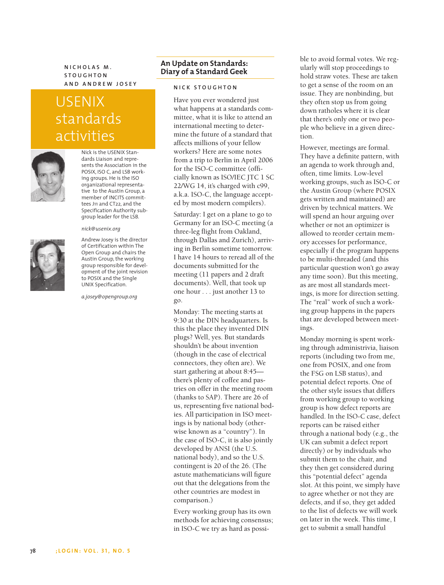**NICHOLAS M. STOUGHTON AND ANDREW JOSEY**

# USENIX standards activities



Nick is the USENIX Standards Liaison and represents the Association in the POSIX, ISO C, and LSB working groups. He is the ISO organizational representative to the Austin Group, a member of INCITS committees J11 and CT22, and the Specification Authority subgroup leader for the LSB.



#### *nick@usenix.org*

Andrew Josey is the director of Certification within The Open Group and chairs the Austin Group, the working group responsible for development of the joint revision to POSIX and the Single UNIX Specification.

*a.josey@opengroup.org*

# **An Update on Standards: Diary of a Standard Geek**

## **NICK STOUGHTON**

Have you ever wondered just what happens at a standards committee, what it is like to attend an international meeting to determine the future of a standard that affects millions of your fellow workers? Here are some notes from a trip to Berlin in April 2006 for the ISO-C committee (officially known as ISO/IEC JTC 1 SC 22/WG 14, it's charged with c99, a.k.a. ISO-C, the language accepted by most modern compilers).

Saturday: I get on a plane to go to Germany for an ISO-C meeting (a three-leg flight from Oakland, through Dallas and Zurich), arriving in Berlin sometime tomorrow. I have 14 hours to reread all of the documents submitted for the meeting (11 papers and 2 draft documents). Well, that took up one hour . . . just another 13 to go.

Monday: The meeting starts at 9:30 at the DIN headquarters. Is this the place they invented DIN plugs? Well, yes. But standards shouldn't be about invention (though in the case of electrical connectors, they often are). We start gathering at about 8:45 there's plenty of coffee and pastries on offer in the meeting room (thanks to SAP). There are 26 of us, representing five national bodies. All participation in ISO meetings is by national body (otherwise known as a "country"). In the case of ISO-C, it is also jointly developed by ANSI (the U.S. national body), and so the U.S. contingent is 20 of the 26. (The astute mathematicians will figure out that the delegations from the other countries are modest in comparison.)

Every working group has its own methods for achieving consensus; in ISO-C we try as hard as possible to avoid formal votes. We regularly will stop proceedings to hold straw votes. These are taken to get a sense of the room on an issue. They are nonbinding, but they often stop us from going down ratholes where it is clear that there's only one or two people who believe in a given direction.

However, meetings are formal. They have a definite pattern, with an agenda to work through and, often, time limits. Low-level working groups, such as ISO-C or the Austin Group (where POSIX gets written and maintained) are driven by technical matters. We will spend an hour arguing over whether or not an optimizer is allowed to reorder certain memory accesses for performance, especially if the program happens to be multi-threaded (and this particular question won't go away any time soon). But this meeting, as are most all standards meetings, is more for direction setting. The "real" work of such a working group happens in the papers that are developed between meetings.

Monday morning is spent working through administrivia, liaison reports (including two from me, one from POSIX, and one from the FSG on LSB status), and potential defect reports. One of the other style issues that differs from working group to working group is how defect reports are handled. In the ISO-C case, defect reports can be raised either through a national body (e.g., the UK can submit a defect report directly) or by individuals who submit them to the chair, and they then get considered during this "potential defect" agenda slot. At this point, we simply have to agree whether or not they are defects, and if so, they get added to the list of defects we will work on later in the week. This time, I get to submit a small handful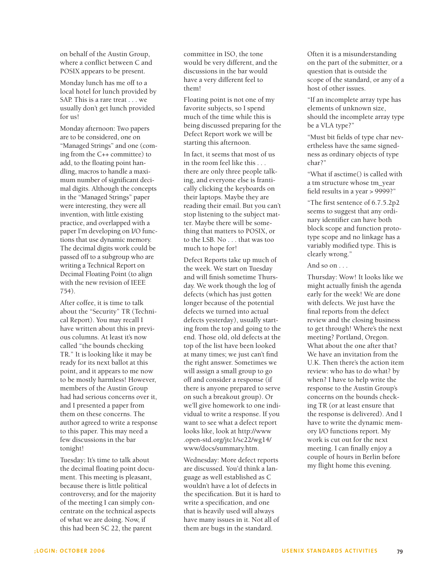on behalf of the Austin Group, where a conflict between C and POSIX appears to be present.

Monday lunch has me off to a local hotel for lunch provided by SAP. This is a rare treat . . . we usually don't get lunch provided for us!

Monday afternoon: Two papers are to be considered, one on "Managed Strings" and one (coming from the C++ committee) to add, to the floating point handling, macros to handle a maximum number of significant decimal digits. Although the concepts in the "Managed Strings" paper were interesting, they were all invention, with little existing practice, and overlapped with a paper I'm developing on I/O functions that use dynamic memory. The decimal digits work could be passed off to a subgroup who are writing a Technical Report on Decimal Floating Point (to align with the new revision of IEEE 754).

After coffee, it is time to talk about the "Security" TR (Technical Report). You may recall I have written about this in previous columns. At least it's now called "the bounds checking TR." It is looking like it may be ready for its next ballot at this point, and it appears to me now to be mostly harmless! However, members of the Austin Group had had serious concerns over it, and I presented a paper from them on these concerns. The author agreed to write a response to this paper. This may need a few discussions in the bar tonight!

Tuesday: It's time to talk about the decimal floating point document. This meeting is pleasant, because there is little political controversy, and for the majority of the meeting I can simply concentrate on the technical aspects of what we are doing. Now, if this had been SC 22, the parent

committee in ISO, the tone would be very different, and the discussions in the bar would have a very different feel to them!

Floating point is not one of my favorite subjects, so I spend much of the time while this is being discussed preparing for the Defect Report work we will be starting this afternoon.

In fact, it seems that most of us in the room feel like this . . . there are only three people talking, and everyone else is frantically clicking the keyboards on their laptops. Maybe they are reading their email. But you can't stop listening to the subject matter. Maybe there will be something that matters to POSIX, or to the LSB. No . . . that was too much to hope for!

Defect Reports take up much of the week. We start on Tuesday and will finish sometime Thursday. We work though the log of defects (which has just gotten longer because of the potential defects we turned into actual defects yesterday), usually starting from the top and going to the end. Those old, old defects at the top of the list have been looked at many times; we just can't find the right answer. Sometimes we will assign a small group to go off and consider a response (if there is anyone prepared to serve on such a breakout group). Or we'll give homework to one individual to write a response. If you want to see what a defect report looks like, look at http://www .open-std.org/jtc1/sc22/wg14/ www/docs/summary.htm.

Wednesday: More defect reports are discussed. You'd think a language as well established as C wouldn't have a lot of defects in the specification. But it is hard to write a specification, and one that is heavily used will always have many issues in it. Not all of them are bugs in the standard.

Often it is a misunderstanding on the part of the submitter, or a question that is outside the scope of the standard, or any of a host of other issues.

"If an incomplete array type has elements of unknown size, should the incomplete array type be a VLA type?"

"Must bit fields of type char nevertheless have the same signedness as ordinary objects of type char?"

"What if asctime() is called with a tm structure whose tm\_year field results in a year > 9999?"

"The first sentence of 6.7.5.2p2 seems to suggest that any ordinary identifier can have both block scope and function prototype scope and no linkage has a variably modified type. This is clearly wrong."

#### And so on . . .

Thursday: Wow! It looks like we might actually finish the agenda early for the week! We are done with defects. We just have the final reports from the defect review and the closing business to get through! Where's the next meeting? Portland, Oregon. What about the one after that? We have an invitation from the U.K. Then there's the action item review: who has to do what? by when? I have to help write the response to the Austin Group's concerns on the bounds checking TR (or at least ensure that the response is delivered). And I have to write the dynamic memory I/O functions report. My work is cut out for the next meeting. I can finally enjoy a couple of hours in Berlin before my flight home this evening.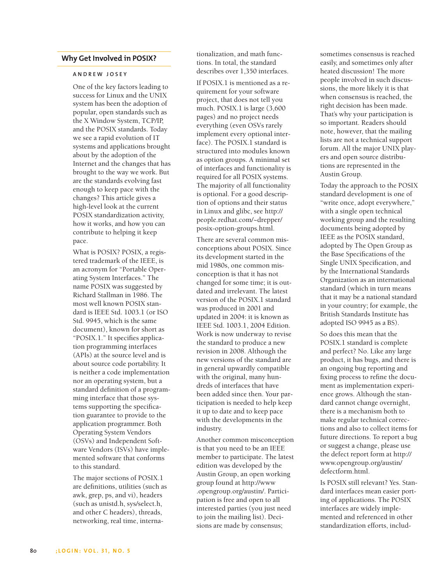## **Why Get Involved in POSIX?**

#### **A NDREW JOSEY**

One of the key factors leading to success for Linux and the UNIX system has been the adoption of popular, open standards such as the X Window System, TCP/IP, and the POSIX standards. Today we see a rapid evolution of IT systems and applications brought about by the adoption of the Internet and the changes that has brought to the way we work. But are the standards evolving fast enough to keep pace with the changes? This article gives a high-level look at the current POSIX standardization activity, how it works, and how you can contribute to helping it keep pace.

What is POSIX? POSIX, a registered trademark of the IEEE, is an acronym for "Portable Operating System Interfaces." The name POSIX was suggested by Richard Stallman in 1986. The most well known POSIX standard is IEEE Std. 1003.1 (or ISO Std. 9945, which is the same document), known for short as "POSIX.1." It specifies application programming interfaces (APIs) at the source level and is about source code portability. It is neither a code implementation nor an operating system, but a standard definition of a programming interface that those systems supporting the specification guarantee to provide to the application programmer. Both Operating System Vendors (OSVs) and Independent Software Vendors (ISVs) have implemented software that conforms to this standard.

The major sections of POSIX.1 are definitions, utilities (such as awk, grep, ps, and vi), headers (such as unistd.h, sys/select.h, and other C headers), threads, networking, real time, internationalization, and math functions. In total, the standard describes over 1,350 interfaces.

If POSIX.1 is mentioned as a requirement for your software project, that does not tell you much. POSIX.1 is large (3,600 pages) and no project needs everything (even OSVs rarely implement every optional interface). The POSIX.1 standard is structured into modules known as option groups. A minimal set of interfaces and functionality is required for all POSIX systems. The majority of all functionality is optional. For a good description of options and their status in Linux and glibc, see http:// people.redhat.com/~drepper/ posix-option-groups.html.

There are several common misconceptions about POSIX. Since its development started in the mid 1980s, one common misconception is that it has not changed for some time; it is outdated and irrelevant. The latest version of the POSIX.1 standard was produced in 2001 and updated in 2004: it is known as IEEE Std. 1003.1, 2004 Edition. Work is now underway to revise the standard to produce a new revision in 2008. Although the new versions of the standard are in general upwardly compatible with the original, many hundreds of interfaces that have been added since then. Your participation is needed to help keep it up to date and to keep pace with the developments in the industry.

Another common misconception is that you need to be an IEEE member to participate. The latest edition was developed by the Austin Group, an open working group found at http://www .opengroup.org/austin/. Participation is free and open to all interested parties (you just need to join the mailing list). Decisions are made by consensus;

sometimes consensus is reached easily, and sometimes only after heated discussion! The more people involved in such discussions, the more likely it is that when consensus is reached, the right decision has been made. That's why your participation is so important. Readers should note, however, that the mailing lists are not a technical support forum. All the major UNIX players and open source distributions are represented in the Austin Group.

Today the approach to the POSIX standard development is one of "write once, adopt everywhere," with a single open technical working group and the resulting documents being adopted by IEEE as the POSIX standard, adopted by The Open Group as the Base Specifications of the Single UNIX Specification, and by the International Standards Organization as an international standard (which in turn means that it may be a national standard in your country; for example, the British Standards Institute has adopted ISO 9945 as a BS).

So does this mean that the POSIX.1 standard is complete and perfect? No. Like any large product, it has bugs, and there is an ongoing bug reporting and fixing process to refine the document as implementation experience grows. Although the standard cannot change overnight, there is a mechanism both to make regular technical corrections and also to collect items for future directions. To report a bug or suggest a change, please use the defect report form at http:// www.opengroup.org/austin/ defectform.html.

Is POSIX still relevant? Yes. Standard interfaces mean easier porting of applications. The POSIX interfaces are widely implemented and referenced in other standardization efforts, includ